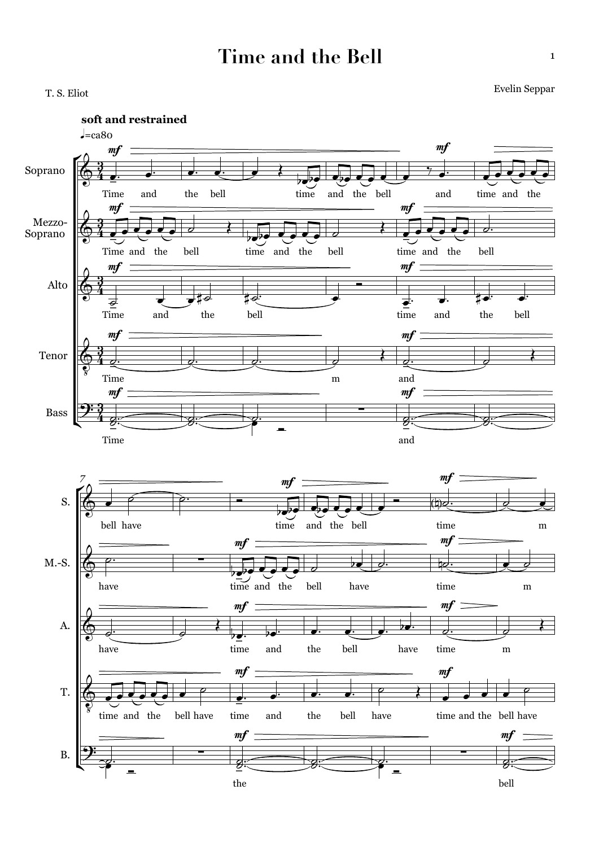## **Time and the Bell**

T. S. Eliot Evelin Seppar

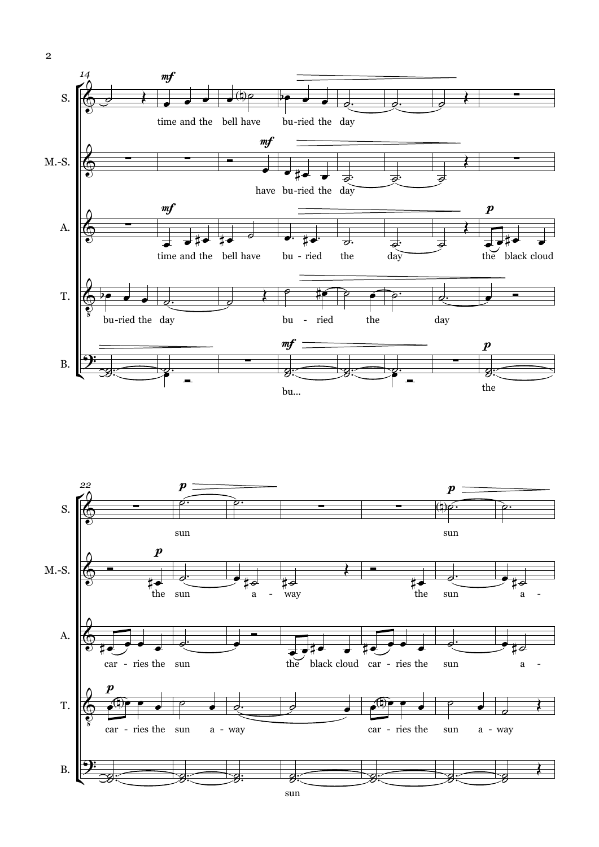